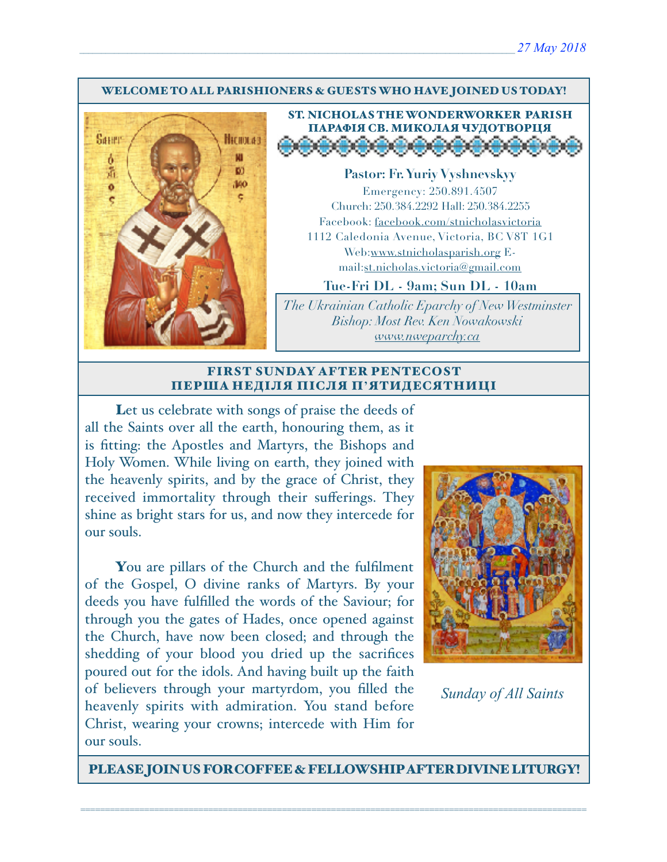#### WELCOME TO ALL PARISHIONERS & GUESTS WHO HAVE JOINED US TODAY!





**Pastor: Fr. Yuriy Vyshnevskyy** Emergency: 250.891.4507 Church: 250.384.2292 Hall: 250.384.2255 Facebook: facebook.com/stnicholasvictoria 1112 Caledonia Avenue, Victoria, BC V8T 1G1 Web[:www.stnicholasparish.org](http://www.stnicholasparish.org) Email:[st.nicholas.victoria@gmail.com](mailto:st.nicholas.victoria@gmail.com)

**Tue-Fri DL - 9am; Sun DL - 10am**

*The Ukrainian Catholic Eparchy of New Westminster Bishop: Most Rev. Ken Nowakowski [www.nweparchy.ca](http://www.nweparchy.ca)*

#### FIRST SUNDAY AFTER PENTECOST ПЕРША НЕДІЛЯ ПІСЛЯ П**'**ЯТИДЕСЯТНИЦІ

Let us celebrate with songs of praise the deeds of all the Saints over all the earth, honouring them, as it is fitting: the Apostles and Martyrs, the Bishops and Holy Women. While living on earth, they joined with the heavenly spirits, and by the grace of Christ, they received immortality through their sufferings. They shine as bright stars for us, and now they intercede for our souls.

You are pillars of the Church and the fulfilment of the Gospel, O divine ranks of Martyrs. By your deeds you have fulfilled the words of the Saviour; for through you the gates of Hades, once opened against the Church, have now been closed; and through the shedding of your blood you dried up the sacrifices poured out for the idols. And having built up the faith of believers through your martyrdom, you filled the heavenly spirits with admiration. You stand before Christ, wearing your crowns; intercede with Him for our souls.



*Sunday of All Saints*

PLEASE JOIN US FOR COFFEE & FELLOWSHIP AFTER DIVINE LITURGY!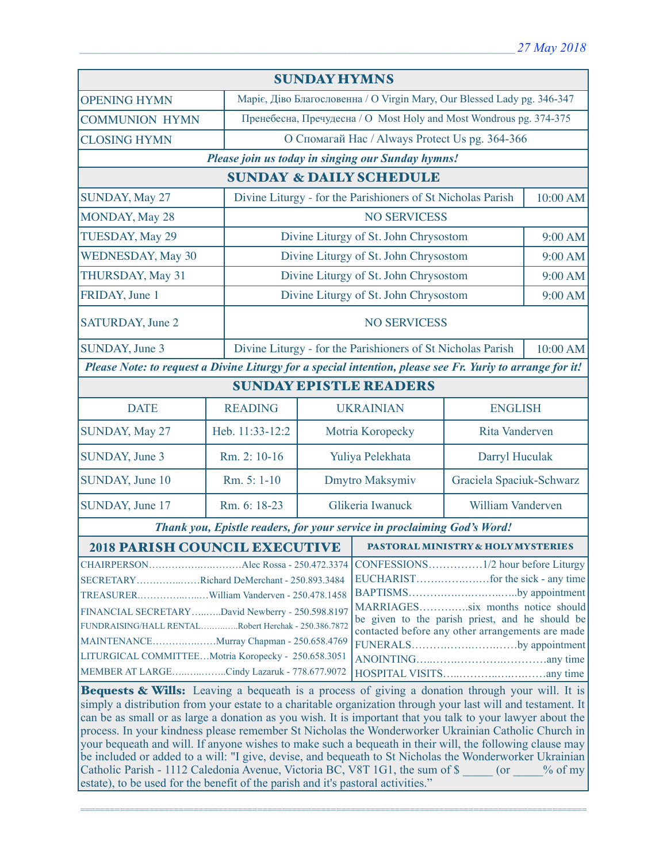| <b>SUNDAY HYMNS</b>                                                                                                                                                                                                                                        |                                                                                                                                                                    |                                                                         |                                                              |                       |                          |  |
|------------------------------------------------------------------------------------------------------------------------------------------------------------------------------------------------------------------------------------------------------------|--------------------------------------------------------------------------------------------------------------------------------------------------------------------|-------------------------------------------------------------------------|--------------------------------------------------------------|-----------------------|--------------------------|--|
| <b>OPENING HYMN</b>                                                                                                                                                                                                                                        |                                                                                                                                                                    | Маріє, Діво Благословенна / O Virgin Mary, Our Blessed Lady pg. 346-347 |                                                              |                       |                          |  |
| <b>COMMUNION HYMN</b>                                                                                                                                                                                                                                      |                                                                                                                                                                    | Пренебесна, Пречудесна / О Most Holy and Most Wondrous pg. 374-375      |                                                              |                       |                          |  |
| <b>CLOSING HYMN</b>                                                                                                                                                                                                                                        |                                                                                                                                                                    | О Спомагай Нас / Always Protect Us pg. 364-366                          |                                                              |                       |                          |  |
| Please join us today in singing our Sunday hymns!                                                                                                                                                                                                          |                                                                                                                                                                    |                                                                         |                                                              |                       |                          |  |
| <b>SUNDAY &amp; DAILY SCHEDULE</b>                                                                                                                                                                                                                         |                                                                                                                                                                    |                                                                         |                                                              |                       |                          |  |
| SUNDAY, May 27                                                                                                                                                                                                                                             |                                                                                                                                                                    | Divine Liturgy - for the Parishioners of St Nicholas Parish             |                                                              | 10:00 AM              |                          |  |
| <b>MONDAY, May 28</b>                                                                                                                                                                                                                                      |                                                                                                                                                                    |                                                                         | <b>NO SERVICESS</b>                                          |                       |                          |  |
| TUESDAY, May 29                                                                                                                                                                                                                                            |                                                                                                                                                                    |                                                                         | Divine Liturgy of St. John Chrysostom                        |                       | 9:00 AM                  |  |
| <b>WEDNESDAY, May 30</b>                                                                                                                                                                                                                                   |                                                                                                                                                                    |                                                                         | Divine Liturgy of St. John Chrysostom                        |                       | 9:00 AM                  |  |
| THURSDAY, May 31                                                                                                                                                                                                                                           |                                                                                                                                                                    |                                                                         | Divine Liturgy of St. John Chrysostom                        |                       | 9:00 AM                  |  |
| FRIDAY, June 1                                                                                                                                                                                                                                             |                                                                                                                                                                    | Divine Liturgy of St. John Chrysostom                                   |                                                              |                       | 9:00 AM                  |  |
| SATURDAY, June 2                                                                                                                                                                                                                                           |                                                                                                                                                                    | <b>NO SERVICESS</b>                                                     |                                                              |                       |                          |  |
| SUNDAY, June 3                                                                                                                                                                                                                                             |                                                                                                                                                                    |                                                                         | Divine Liturgy - for the Parishioners of St Nicholas Parish  |                       | 10:00 AM                 |  |
| Please Note: to request a Divine Liturgy for a special intention, please see Fr. Yuriy to arrange for it!                                                                                                                                                  |                                                                                                                                                                    |                                                                         |                                                              |                       |                          |  |
| <b>SUNDAY EPISTLE READERS</b>                                                                                                                                                                                                                              |                                                                                                                                                                    |                                                                         |                                                              |                       |                          |  |
| <b>DATE</b>                                                                                                                                                                                                                                                | <b>READING</b>                                                                                                                                                     |                                                                         | <b>UKRAINIAN</b><br><b>ENGLISH</b>                           |                       |                          |  |
| SUNDAY, May 27                                                                                                                                                                                                                                             | Heb. 11:33-12:2                                                                                                                                                    |                                                                         | Motria Koropecky                                             | <b>Rita Vanderven</b> |                          |  |
| SUNDAY, June 3                                                                                                                                                                                                                                             | Rm. 2: 10-16                                                                                                                                                       |                                                                         | Darryl Huculak<br>Yuliya Pelekhata                           |                       |                          |  |
| SUNDAY, June 10                                                                                                                                                                                                                                            | Rm. 5: 1-10                                                                                                                                                        | Dmytro Maksymiv                                                         |                                                              |                       | Graciela Spaciuk-Schwarz |  |
| SUNDAY, June 17                                                                                                                                                                                                                                            | Rm. 6: 18-23                                                                                                                                                       | Glikeria Iwanuck                                                        |                                                              | William Vanderven     |                          |  |
| Thank you, Epistle readers, for your service in proclaiming God's Word!                                                                                                                                                                                    |                                                                                                                                                                    |                                                                         |                                                              |                       |                          |  |
| <b>2018 PARISH COUNCIL EXECUTIVE</b>                                                                                                                                                                                                                       |                                                                                                                                                                    |                                                                         | <b>PASTORAL MINISTRY &amp; HOLY MYSTERIES</b>                |                       |                          |  |
| SECRETARYRichard DeMerchant - 250.893.3484<br>TREASURERWilliam Vanderven - 250.478.1458                                                                                                                                                                    |                                                                                                                                                                    |                                                                         | CONFESSIONS1/2 hour before Liturgy<br>BAPTISMSby appointment |                       |                          |  |
| FINANCIAL SECRETARYDavid Newberry - 250.598.8197<br>FUNDRAISING/HALL RENTALRobert Herchak - 250.386.7872<br>MAINTENANCEMurray Chapman - 250.658.4769<br>LITURGICAL COMMITTEEMotria Koropecky - 250.658.3051<br>MEMBER AT LARGECindy Lazaruk - 778.677.9072 | MARRIAGESsix months notice should<br>be given to the parish priest, and he should be<br>contacted before any other arrangements are made<br>FUNERALSby appointment |                                                                         |                                                              |                       |                          |  |
| <b>Bequests &amp; Wills:</b> Leaving a bequeath is a process of giving a donation through your will. It is<br>originally a distribution from your estate to a charitable crossization through your last will and testament. It                             |                                                                                                                                                                    |                                                                         |                                                              |                       |                          |  |

simply a distribution from your estate to a charitable organization through your last will and testament. It can be as small or as large a donation as you wish. It is important that you talk to your lawyer about the process. In your kindness please remember St Nicholas the Wonderworker Ukrainian Catholic Church in your bequeath and will. If anyone wishes to make such a bequeath in their will, the following clause may be included or added to a will: "I give, devise, and bequeath to St Nicholas the Wonderworker Ukrainian Catholic Parish - 1112 Caledonia Avenue, Victoria BC, V8T 1G1, the sum of \$ \_\_\_\_\_ (or \_\_\_\_% of my estate), to be used for the benefit of the parish and it's pastoral activities."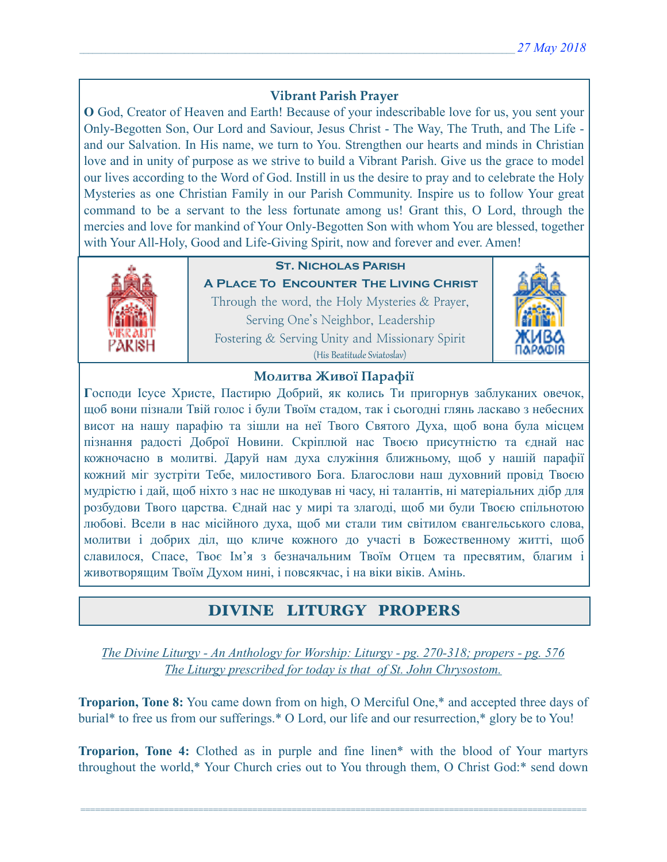# **Vibrant Parish Prayer**

**O** God, Creator of Heaven and Earth! Because of your indescribable love for us, you sent your Only-Begotten Son, Our Lord and Saviour, Jesus Christ - The Way, The Truth, and The Life and our Salvation. In His name, we turn to You. Strengthen our hearts and minds in Christian love and in unity of purpose as we strive to build a Vibrant Parish. Give us the grace to model our lives according to the Word of God. Instill in us the desire to pray and to celebrate the Holy Mysteries as one Christian Family in our Parish Community. Inspire us to follow Your great command to be a servant to the less fortunate among us! Grant this, O Lord, through the mercies and love for mankind of Your Only-Begotten Son with whom You are blessed, together with Your All-Holy, Good and Life-Giving Spirit, now and forever and ever. Amen!



# **St. Nicholas Parish**

**A Place To Encounter The Living Christ** Through the word, the Holy Mysteries & Prayer, Serving One's Neighbor, Leadership Fostering & Serving Unity and Missionary Spirit (His Beatitude Sviatoslav)



## **Молитва Живої Парафії**

**Г**осподи Ісусе Христе, Пастирю Добрий, як колись Ти пригорнув заблуканих овечок, щоб вони пізнали Твій голос і були Твоїм стадом, так і сьогодні глянь ласкаво з небесних висот на нашу парафію та зішли на неї Твого Святого Духа, щоб вона була місцем пізнання радості Доброї Новини. Скріплюй нас Твоєю присутністю та єднай нас кожночасно в молитві. Даруй нам духа служіння ближньому, щоб у нашій парафії кожний міг зустріти Тебе, милостивого Бога. Благослови наш духовний провід Твоєю мудрістю і дай, щоб ніхто з нас не шкодував ні часу, ні талантів, ні матеріальних дібр для розбудови Твого царства. Єднай нас у мирі та злагоді, щоб ми були Твоєю спільнотою любові. Всели в нас місійного духа, щоб ми стали тим світилом євангельського слова, молитви і добрих діл, що кличе кожного до участі в Божественному житті, щоб славилося, Спасе, Твоє Ім'я з безначальним Твоїм Отцем та пресвятим, благим і животворящим Твоїм Духом нині, і повсякчас, і на віки віків. Амінь.

# DIVINE LITURGY PROPERS

*The Divine Liturgy - An Anthology for Worship: Liturgy - pg. 270-318; propers - pg. 576 The Liturgy prescribed for today is that of St. John Chrysostom.* 

**Troparion, Tone 8:** You came down from on high, O Merciful One,\* and accepted three days of burial\* to free us from our sufferings.\* O Lord, our life and our resurrection,\* glory be to You!

**Troparion, Tone 4:** Clothed as in purple and fine linen\* with the blood of Your martyrs throughout the world,\* Your Church cries out to You through them, O Christ God:\* send down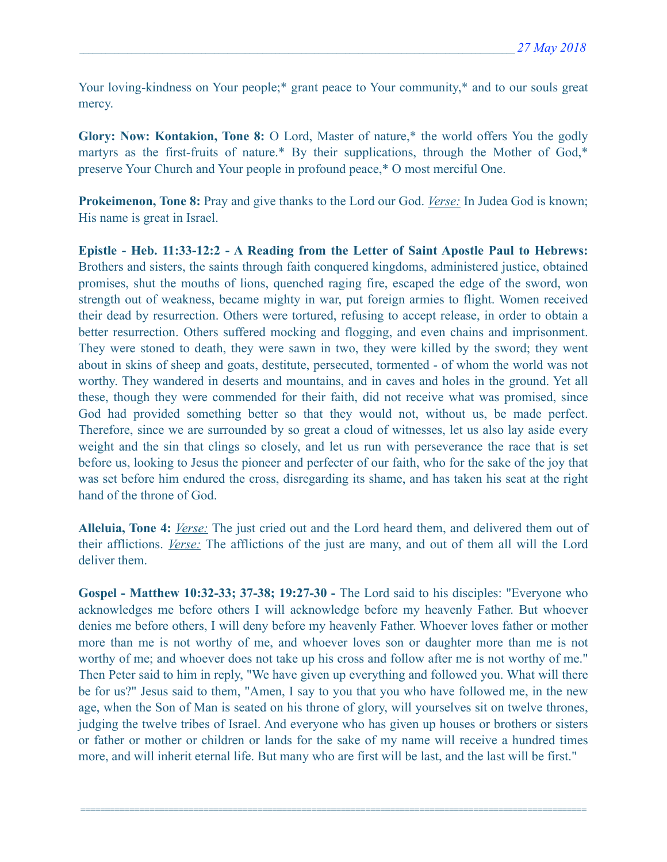Your loving-kindness on Your people;\* grant peace to Your community,\* and to our souls great mercy.

**Glory: Now: Kontakion, Tone 8:** O Lord, Master of nature,\* the world offers You the godly martyrs as the first-fruits of nature.\* By their supplications, through the Mother of God,\* preserve Your Church and Your people in profound peace,\* O most merciful One.

**Prokeimenon, Tone 8:** Pray and give thanks to the Lord our God. *Verse:* In Judea God is known; His name is great in Israel.

**Epistle - Heb. 11:33-12:2 - A Reading from the Letter of Saint Apostle Paul to Hebrews:** Brothers and sisters, the saints through faith conquered kingdoms, administered justice, obtained promises, shut the mouths of lions, quenched raging fire, escaped the edge of the sword, won strength out of weakness, became mighty in war, put foreign armies to flight. Women received their dead by resurrection. Others were tortured, refusing to accept release, in order to obtain a better resurrection. Others suffered mocking and flogging, and even chains and imprisonment. They were stoned to death, they were sawn in two, they were killed by the sword; they went about in skins of sheep and goats, destitute, persecuted, tormented - of whom the world was not worthy. They wandered in deserts and mountains, and in caves and holes in the ground. Yet all these, though they were commended for their faith, did not receive what was promised, since God had provided something better so that they would not, without us, be made perfect. Therefore, since we are surrounded by so great a cloud of witnesses, let us also lay aside every weight and the sin that clings so closely, and let us run with perseverance the race that is set before us, looking to Jesus the pioneer and perfecter of our faith, who for the sake of the joy that was set before him endured the cross, disregarding its shame, and has taken his seat at the right hand of the throne of God.

**Alleluia, Tone 4:** *Verse:* The just cried out and the Lord heard them, and delivered them out of their afflictions. *Verse:* The afflictions of the just are many, and out of them all will the Lord deliver them.

**Gospel - Matthew 10:32-33; 37-38; 19:27-30 -** The Lord said to his disciples: "Everyone who acknowledges me before others I will acknowledge before my heavenly Father. But whoever denies me before others, I will deny before my heavenly Father. Whoever loves father or mother more than me is not worthy of me, and whoever loves son or daughter more than me is not worthy of me; and whoever does not take up his cross and follow after me is not worthy of me." Then Peter said to him in reply, "We have given up everything and followed you. What will there be for us?" Jesus said to them, "Amen, I say to you that you who have followed me, in the new age, when the Son of Man is seated on his throne of glory, will yourselves sit on twelve thrones, judging the twelve tribes of Israel. And everyone who has given up houses or brothers or sisters or father or mother or children or lands for the sake of my name will receive a hundred times more, and will inherit eternal life. But many who are first will be last, and the last will be first."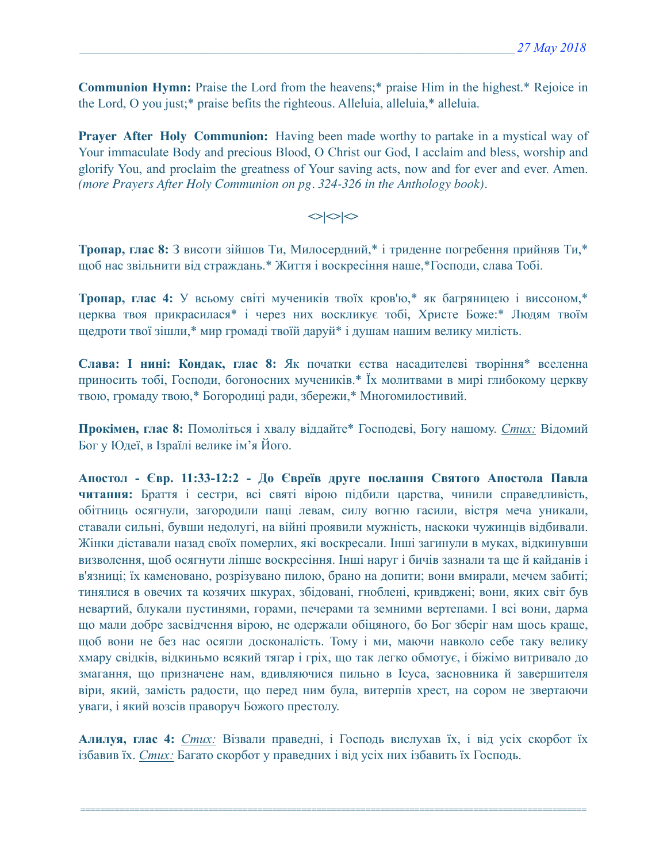**Communion Hymn:** Praise the Lord from the heavens;\* praise Him in the highest.\* Rejoice in the Lord, O you just;\* praise befits the righteous. Alleluia, alleluia,\* alleluia.

**Prayer After Holy Communion:** Having been made worthy to partake in a mystical way of Your immaculate Body and precious Blood, O Christ our God, I acclaim and bless, worship and glorify You, and proclaim the greatness of Your saving acts, now and for ever and ever. Amen. *(more Prayers After Holy Communion on pg. 324-326 in the Anthology book).* 

## $\left| \diamond \right| \diamond \left| \diamond \right|$

**Тропар, глас 8:** З висоти зійшов Ти, Милосердний,\* і триденне погребення прийняв Ти,\* щоб нас звільнити від страждань.\* Життя і воскресіння наше,\*Господи, слава Тобі.

**Тропар, глас 4:** У всьому світі мучеників твоїх кров'ю,\* як багряницею і виссоном,\* церква твоя прикрасилася\* і через них воскликує тобі, Христе Боже:\* Людям твоїм щедроти твої зішли,\* мир громаді твоїй даруй\* і душам нашим велику милість.

**Слава: І нині: Кондак, глас 8:** Як початки єства насадителеві творіння\* вселенна приносить тобі, Господи, богоносних мучеників.\* Їх молитвами в мирі глибокому церкву твою, громаду твою,\* Богородиці ради, збережи,\* Многомилостивий.

**Прокімен, глас 8:** Помоліться і хвалу віддайте\* Господеві, Богу нашому. *Стих:* Відомий Бог у Юдеї, в Ізраїлі велике ім'я Його.

**Апостол - Євр. 11:33-12:2 - До Євреїв друге послання Святого Апостола Павла читання:** Браття і сестри, всі святі вірою підбили царства, чинили справедливість, обітниць осягнули, загородили пащі левам, силу вогню гасили, вістря меча уникали, ставали сильні, бувши недолугі, на війні проявили мужність, наскоки чужинців відбивали. Жінки діставали назад своїх померлих, які воскресали. Інші загинули в муках, відкинувши визволення, щоб осягнути ліпше воскресіння. Інші наруг і бичів зазнали та ще й кайданів і в'язниці; їх каменовано, розрізувано пилою, брано на допити; вони вмирали, мечем забиті; тинялися в овечих та козячих шкурах, збідовані, гноблені, кривджені; вони, яких світ був невартий, блукали пустинями, горами, печерами та земними вертепами. І всі вони, дарма що мали добре засвідчення вірою, не одержали обіцяного, бо Бог зберіг нам щось краще, щоб вони не без нас осягли досконалість. Тому і ми, маючи навколо себе таку велику хмару свідків, відкиньмо всякий тягар і гріх, що так легко обмотує, і біжімо витривало до змагання, що призначене нам, вдивляючися пильно в Ісуса, засновника й завершителя віри, який, замість радости, що перед ним була, витерпів хрест, на сором не звертаючи уваги, і який возсів праворуч Божого престолу.

**Алилуя, глас 4:** *Стих:* Візвали праведні, і Господь вислухав їх, і від усіх скорбот їх ізбавив їх. *Стих:* Багато скорбот у праведних і від усіх них ізбавить їх Господь.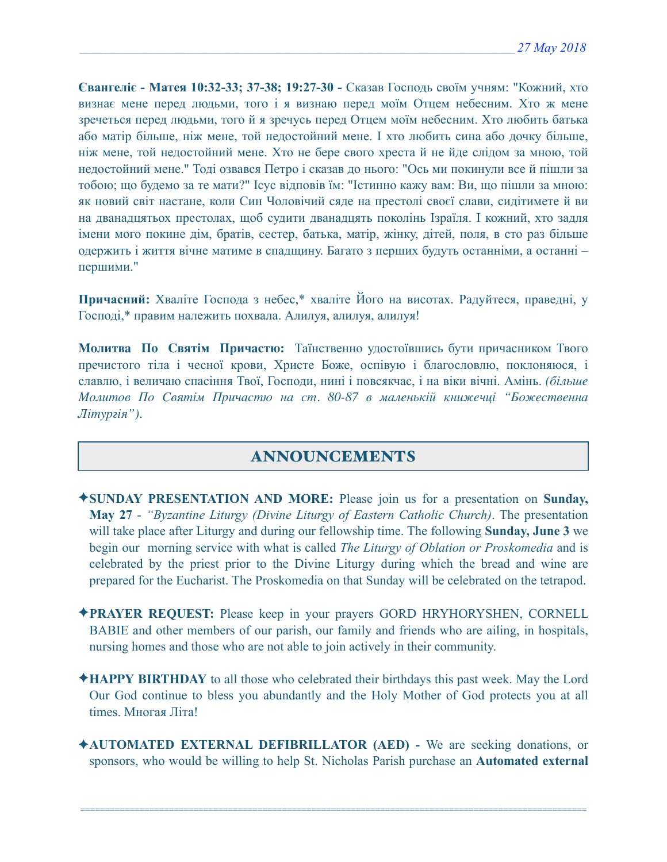**Євангеліє - Матея 10:32-33; 37-38; 19:27-30 -** Сказав Господь своїм учням: "Кожний, хто визнає мене перед людьми, того і я визнаю перед моїм Отцем небесним. Хто ж мене зречеться перед людьми, того й я зречусь перед Отцем моїм небесним. Хто любить батька або матір більше, ніж мене, той недостойний мене. І хто любить сина або дочку більше, ніж мене, той недостойний мене. Хто не бере свого хреста й не йде слідом за мною, той недостойний мене." Тоді озвався Петро і сказав до нього: "Ось ми покинули все й пішли за тобою; що будемо за те мати?" Ісус відповів їм: "Істинно кажу вам: Ви, що пішли за мною: як новий світ настане, коли Син Чоловічий сяде на престолі своєї слави, сидітимете й ви на дванадцятьох престолах, щоб судити дванадцять поколінь Ізраїля. І кожний, хто задля імени мого покине дім, братів, сестер, батька, матір, жінку, дітей, поля, в сто раз більше одержить і життя вічне матиме в спадщину. Багато з перших будуть останніми, а останні – першими."

**Причасний:** Хваліте Господа з небес,\* хваліте Його на висотах. Радуйтеся, праведні, у Господі,\* правим належить похвала. Алилуя, aлилуя, aлилуя!

**Молитва По Святім Причастю:** Таїнственно удостоївшись бути причасником Твого пречистого тіла і чесної крови, Христе Боже, оспівую і благословлю, поклоняюся, і славлю, і величаю спасіння Твої, Господи, нині і повсякчас, і на віки вічні. Амінь. *(більше Молитов По Святім Причастю на ст. 80-87 в маленькій книжечці "Божественна Літургія")*.

# ANNOUNCEMENTS

- ✦**SUNDAY PRESENTATION AND MORE:** Please join us for a presentation on **Sunday, May 27** - *"Byzantine Liturgy (Divine Liturgy of Eastern Catholic Church)*. The presentation will take place after Liturgy and during our fellowship time. The following **Sunday, June 3** we begin our morning service with what is called *The Liturgy of Oblation or Proskomedia* and is celebrated by the priest prior to the Divine Liturgy during which the bread and wine are prepared for the Eucharist. The Proskomedia on that Sunday will be celebrated on the tetrapod.
- ✦**PRAYER REQUEST:** Please keep in your prayers GORD HRYHORYSHEN, CORNELL BABIE and other members of our parish, our family and friends who are ailing, in hospitals, nursing homes and those who are not able to join actively in their community.
- ✦**HAPPY BIRTHDAY** to all those who celebrated their birthdays this past week. May the Lord Our God continue to bless you abundantly and the Holy Mother of God protects you at all times. Многая Літа!
- ✦**AUTOMATED EXTERNAL DEFIBRILLATOR (AED)** We are seeking donations, or sponsors, who would be willing to help St. Nicholas Parish purchase an **Automated external**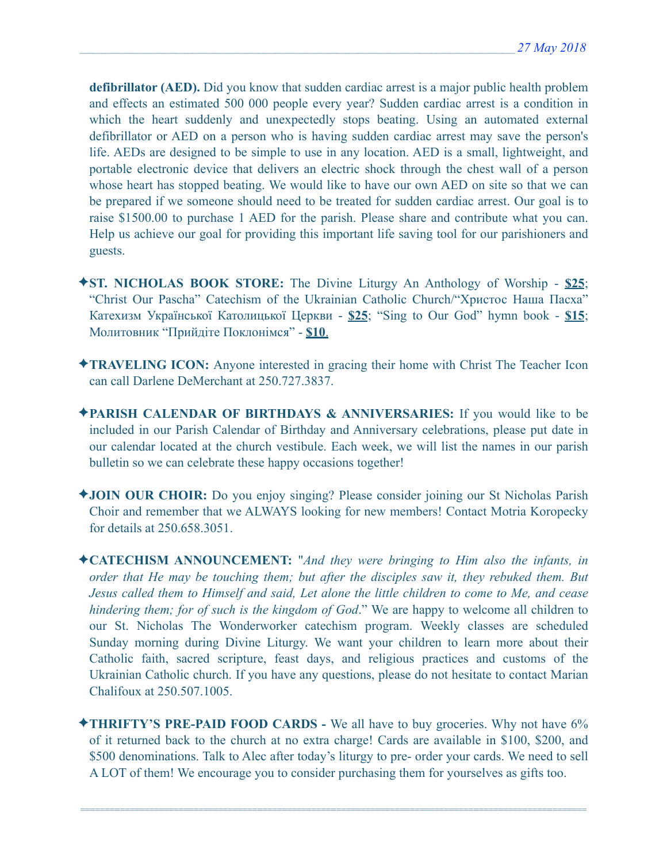**defibrillator (AED).** Did you know that sudden cardiac arrest is a major public health problem and effects an estimated 500 000 people every year? Sudden cardiac arrest is a condition in which the heart suddenly and unexpectedly stops beating. Using an automated external defibrillator or AED on a person who is having sudden cardiac arrest may save the person's life. AEDs are designed to be simple to use in any location. AED is a small, lightweight, and portable electronic device that delivers an electric shock through the chest wall of a person whose heart has stopped beating. We would like to have our own AED on site so that we can be prepared if we someone should need to be treated for sudden cardiac arrest. Our goal is to raise \$1500.00 to purchase 1 AED for the parish. Please share and contribute what you can. Help us achieve our goal for providing this important life saving tool for our parishioners and guests.

- ✦**ST. NICHOLAS BOOK STORE:** The Divine Liturgy An Anthology of Worship **\$25**; "Christ Our Pascha" Catechism of the Ukrainian Catholic Church/"Христос Наша Пасха" Катехизм Української Католицької Церкви - **\$25**; "Sing to Our God" hymn book - **\$15**; Молитовник "Прийдіте Поклонімся" - **\$10**.
- ✦**TRAVELING ICON:** Anyone interested in gracing their home with Christ The Teacher Icon can call Darlene DeMerchant at 250.727.3837.
- ✦**PARISH CALENDAR OF BIRTHDAYS & ANNIVERSARIES:** If you would like to be included in our Parish Calendar of Birthday and Anniversary celebrations, please put date in our calendar located at the church vestibule. Each week, we will list the names in our parish bulletin so we can celebrate these happy occasions together!
- ✦**JOIN OUR CHOIR:** Do you enjoy singing? Please consider joining our St Nicholas Parish Choir and remember that we ALWAYS looking for new members! Contact Motria Koropecky for details at 250.658.3051.
- ✦**CATECHISM ANNOUNCEMENT:** "*And they were bringing to Him also the infants, in order that He may be touching them; but after the disciples saw it, they rebuked them. But Jesus called them to Himself and said, Let alone the little children to come to Me, and cease hindering them; for of such is the kingdom of God*." We are happy to welcome all children to our St. Nicholas The Wonderworker catechism program. Weekly classes are scheduled Sunday morning during Divine Liturgy. We want your children to learn more about their Catholic faith, sacred scripture, feast days, and religious practices and customs of the Ukrainian Catholic church. If you have any questions, please do not hesitate to contact Marian Chalifoux at 250.507.1005.
- ✦**THRIFTY'S PRE-PAID FOOD CARDS** We all have to buy groceries. Why not have 6% of it returned back to the church at no extra charge! Cards are available in \$100, \$200, and \$500 denominations. Talk to Alec after today's liturgy to pre- order your cards. We need to sell A LOT of them! We encourage you to consider purchasing them for yourselves as gifts too.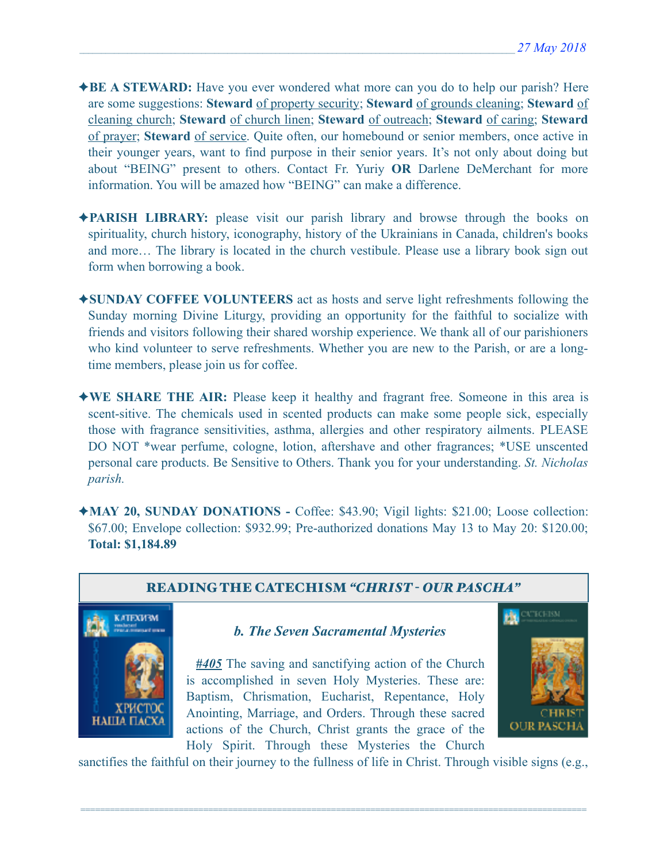- ✦**BE A STEWARD:** Have you ever wondered what more can you do to help our parish? Here are some suggestions: **Steward** of property security; **Steward** of grounds cleaning; **Steward** of cleaning church; **Steward** of church linen; **Steward** of outreach; **Steward** of caring; **Steward** of prayer; **Steward** of service. Quite often, our homebound or senior members, once active in their younger years, want to find purpose in their senior years. It's not only about doing but about "BEING" present to others. Contact Fr. Yuriy **OR** Darlene DeMerchant for more information. You will be amazed how "BEING" can make a difference.
- ✦**PARISH LIBRARY:** please visit our parish library and browse through the books on spirituality, church history, iconography, history of the Ukrainians in Canada, children's books and more… The library is located in the church vestibule. Please use a library book sign out form when borrowing a book.
- ✦**SUNDAY COFFEE VOLUNTEERS** act as hosts and serve light refreshments following the Sunday morning Divine Liturgy, providing an opportunity for the faithful to socialize with friends and visitors following their shared worship experience. We thank all of our parishioners who kind volunteer to serve refreshments. Whether you are new to the Parish, or are a longtime members, please join us for coffee.
- ✦**WE SHARE THE AIR:** Please keep it healthy and fragrant free. Someone in this area is scent-sitive. The chemicals used in scented products can make some people sick, especially those with fragrance sensitivities, asthma, allergies and other respiratory ailments. PLEASE DO NOT \*wear perfume, cologne, lotion, aftershave and other fragrances; \*USE unscented personal care products. Be Sensitive to Others. Thank you for your understanding. *St. Nicholas parish.*
- ✦**MAY 20, SUNDAY DONATIONS** Coffee: \$43.90; Vigil lights: \$21.00; Loose collection: \$67.00; Envelope collection: \$932.99; Pre-authorized donations May 13 to May 20: \$120.00; **Total: \$1,184.89**



sanctifies the faithful on their journey to the fullness of life in Christ. Through visible signs (e.g.,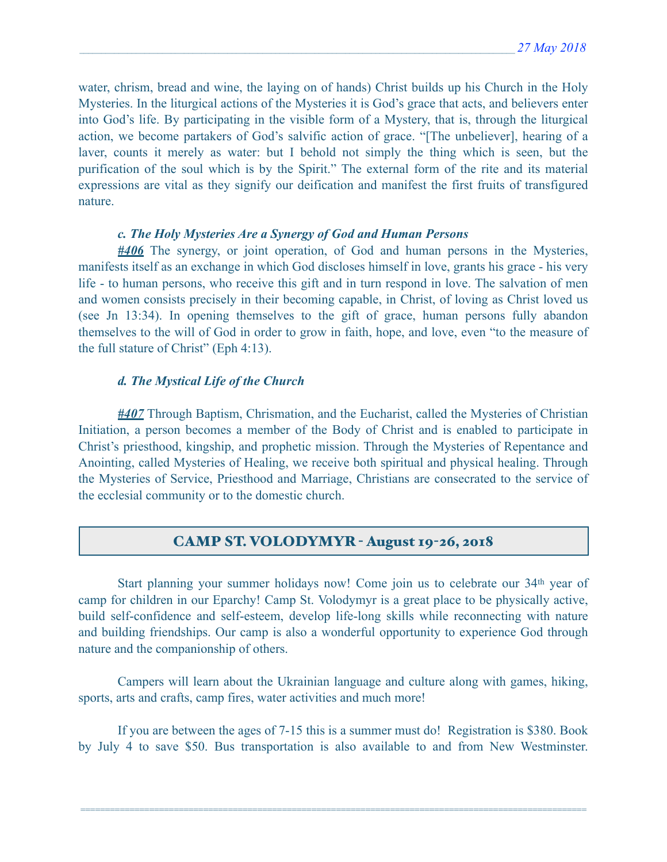water, chrism, bread and wine, the laying on of hands) Christ builds up his Church in the Holy Mysteries. In the liturgical actions of the Mysteries it is God's grace that acts, and believers enter into God's life. By participating in the visible form of a Mystery, that is, through the liturgical action, we become partakers of God's salvific action of grace. "[The unbeliever], hearing of a laver, counts it merely as water: but I behold not simply the thing which is seen, but the purification of the soul which is by the Spirit." The external form of the rite and its material expressions are vital as they signify our deification and manifest the first fruits of transfigured nature.

#### *c. The Holy Mysteries Are a Synergy of God and Human Persons*

*#406* The synergy, or joint operation, of God and human persons in the Mysteries, manifests itself as an exchange in which God discloses himself in love, grants his grace - his very life - to human persons, who receive this gift and in turn respond in love. The salvation of men and women consists precisely in their becoming capable, in Christ, of loving as Christ loved us (see Jn 13:34). In opening themselves to the gift of grace, human persons fully abandon themselves to the will of God in order to grow in faith, hope, and love, even "to the measure of the full stature of Christ" (Eph 4:13).

#### *d. The Mystical Life of the Church*

*#407* Through Baptism, Chrismation, and the Eucharist, called the Mysteries of Christian Initiation, a person becomes a member of the Body of Christ and is enabled to participate in Christ's priesthood, kingship, and prophetic mission. Through the Mysteries of Repentance and Anointing, called Mysteries of Healing, we receive both spiritual and physical healing. Through the Mysteries of Service, Priesthood and Marriage, Christians are consecrated to the service of the ecclesial community or to the domestic church.

# CAMP ST. VOLODYMYR - August 19-26, 2018

 Start planning your summer holidays now! Come join us to celebrate our 34th year of camp for children in our Eparchy! Camp St. Volodymyr is a great place to be physically active, build self-confidence and self-esteem, develop life-long skills while reconnecting with nature and building friendships. Our camp is also a wonderful opportunity to experience God through nature and the companionship of others.

 Campers will learn about the Ukrainian language and culture along with games, hiking, sports, arts and crafts, camp fires, water activities and much more!

 If you are between the ages of 7-15 this is a summer must do! Registration is \$380. Book by July 4 to save \$50. Bus transportation is also available to and from New Westminster.